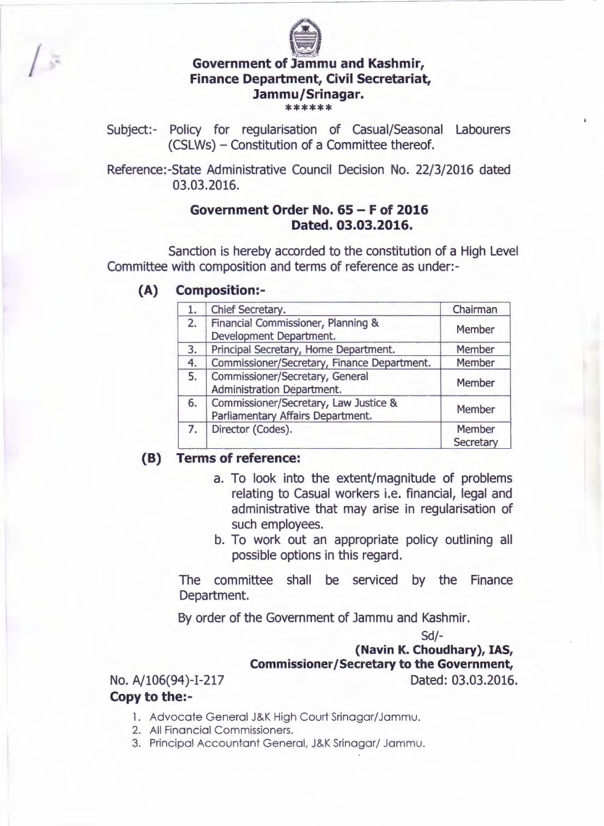

## **Government of Jammu and Kashmir, Finance Department, Civil Secretariat, Jammu/Srinagar.**

\*\*\*\*\*\*

Subject:- Policy for regularisation of Casual/Seasonal Labourers (CSLWs) - Constitution of a Committee thereof.

Reference:-State Administrative Council Decision No. 22/3/2016 dated 03.03.2016.

## **Government Order No. 65 - F of 2016 Dated. 03.03.2016.**

Sanction is hereby accorded to the constitution of a High Level Committee with composition and terms of reference as under:-

**(A) Composition:-**

|    | Chief Secretary.                                                           | Chairman            |
|----|----------------------------------------------------------------------------|---------------------|
| 2. | Financial Commissioner, Planning &<br>Development Department.              | Member              |
| 3. | Principal Secretary, Home Department.                                      | Member              |
| 4. | Commissioner/Secretary, Finance Department.                                | Member              |
| 5. | Commissioner/Secretary, General<br>Administration Department.              | Member              |
| 6. | Commissioner/Secretary, Law Justice &<br>Parliamentary Affairs Department. | Member              |
| 7. | Director (Codes).                                                          | Member<br>Secretary |

## **(B) Terms of reference:**

- a. To look into the extent/magnitude of problems relating to Casual workers i.e. financial, legal and administrative that may arise in regularisation of such employees.
- b. To work out an appropriate policy outlining all possible options in this regard.

The committee shall be serviced by the Finance Department.

By order of the Government of Jammu and Kashmir.

Sd/-

## **{Navin K. Choudhary), IAS, Commissioner/Secretary to the Government,**

No. A/106(94)-1-217 Dated: 03.03.2016.

**Copy to the:-**

- 1. Advocate General J&K High Court Srinagar/Jammu.
- 2. All Financial Commissioners.
- 3. Principal Accountant General, J&K Srinagar/ Jammu.